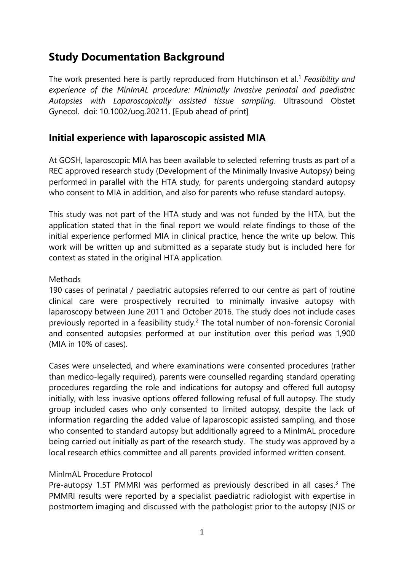# **Study Documentation Background**

The work presented here is partly reproduced from Hutchinson et al.1 *Feasibility and experience of the MinImAL procedure: Minimally Invasive perinatal and paediatric Autopsies with Laparoscopically assisted tissue sampling.* Ultrasound Obstet Gynecol. doi: 10.1002/uog.20211. [Epub ahead of print]

# **Initial experience with laparoscopic assisted MIA**

At GOSH, laparoscopic MIA has been available to selected referring trusts as part of a REC approved research study (Development of the Minimally Invasive Autopsy) being performed in parallel with the HTA study, for parents undergoing standard autopsy who consent to MIA in addition, and also for parents who refuse standard autopsy.

This study was not part of the HTA study and was not funded by the HTA, but the application stated that in the final report we would relate findings to those of the initial experience performed MIA in clinical practice, hence the write up below. This work will be written up and submitted as a separate study but is included here for context as stated in the original HTA application.

## **Methods**

190 cases of perinatal / paediatric autopsies referred to our centre as part of routine clinical care were prospectively recruited to minimally invasive autopsy with laparoscopy between June 2011 and October 2016. The study does not include cases previously reported in a feasibility study.<sup>2</sup> The total number of non-forensic Coronial and consented autopsies performed at our institution over this period was 1,900 (MIA in 10% of cases).

Cases were unselected, and where examinations were consented procedures (rather than medico-legally required), parents were counselled regarding standard operating procedures regarding the role and indications for autopsy and offered full autopsy initially, with less invasive options offered following refusal of full autopsy. The study group included cases who only consented to limited autopsy, despite the lack of information regarding the added value of laparoscopic assisted sampling, and those who consented to standard autopsy but additionally agreed to a MinImAL procedure being carried out initially as part of the research study. The study was approved by a local research ethics committee and all parents provided informed written consent.

#### MinImAL Procedure Protocol

Pre-autopsy 1.5T PMMRI was performed as previously described in all cases.<sup>3</sup> The PMMRI results were reported by a specialist paediatric radiologist with expertise in postmortem imaging and discussed with the pathologist prior to the autopsy (NJS or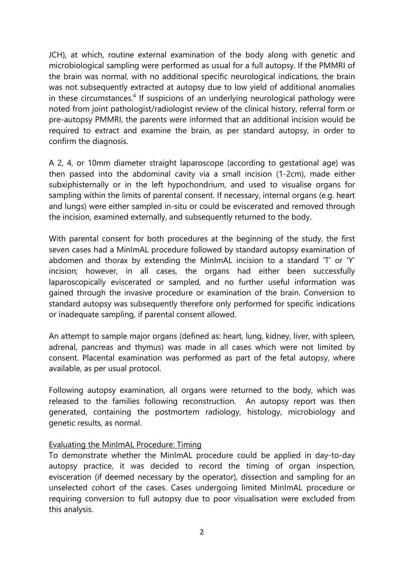JCH), at which, routine external examination of the body along with genetic and microbiological sampling were performed as usual for a full autopsy. If the PMMRI of the brain was normal, with no additional specific neurological indications, the brain was not subsequently extracted at autopsy due to low yield of additional anomalies in these circumstances.<sup>4</sup> If suspicions of an underlying neurological pathology were noted from joint pathologist/radiologist review of the clinical history, referral form or pre-autopsy PMMRI, the parents were informed that an additional incision would be required to extract and examine the brain, as per standard autopsy, in order to confirm the diagnosis.

A 2, 4, or 10mm diameter straight laparoscope (according to gestational age) was then passed into the abdominal cavity via a small incision (1-2cm), made either subxiphisternally or in the left hypochondrium, and used to visualise organs for sampling within the limits of parental consent. If necessary, internal organs (e.g. heart and lungs) were either sampled in-situ or could be eviscerated and removed through the incision, examined externally, and subsequently returned to the body.

With parental consent for both procedures at the beginning of the study, the first seven cases had a MinImAL procedure followed by standard autopsy examination of abdomen and thorax by extending the MinImAL incision to a standard 'T' or 'Y' incision; however, in all cases, the organs had either been successfully laparoscopically eviscerated or sampled, and no further useful information was gained through the invasive procedure or examination of the brain. Conversion to standard autopsy was subsequently therefore only performed for specific indications or inadequate sampling, if parental consent allowed.

An attempt to sample major organs (defined as: heart, lung, kidney, liver, with spleen, adrenal, pancreas and thymus) was made in all cases which were not limited by consent. Placental examination was performed as part of the fetal autopsy, where available, as per usual protocol.

Following autopsy examination, all organs were returned to the body, which was released to the families following reconstruction. An autopsy report was then generated, containing the postmortem radiology, histology, microbiology and genetic results, as normal.

#### Evaluating the MinImAL Procedure: Timing

To demonstrate whether the MinImAL procedure could be applied in day-to-day autopsy practice, it was decided to record the timing of organ inspection, evisceration (if deemed necessary by the operator), dissection and sampling for an unselected cohort of the cases. Cases undergoing limited MinImAL procedure or requiring conversion to full autopsy due to poor visualisation were excluded from this analysis.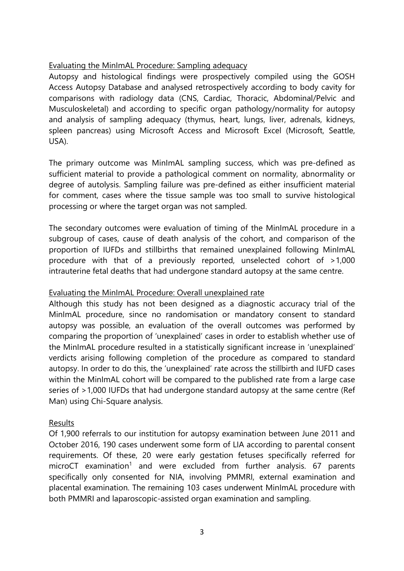### Evaluating the MinImAL Procedure: Sampling adequacy

Autopsy and histological findings were prospectively compiled using the GOSH Access Autopsy Database and analysed retrospectively according to body cavity for comparisons with radiology data (CNS, Cardiac, Thoracic, Abdominal/Pelvic and Musculoskeletal) and according to specific organ pathology/normality for autopsy and analysis of sampling adequacy (thymus, heart, lungs, liver, adrenals, kidneys, spleen pancreas) using Microsoft Access and Microsoft Excel (Microsoft, Seattle, USA).

The primary outcome was MinImAL sampling success, which was pre-defined as sufficient material to provide a pathological comment on normality, abnormality or degree of autolysis. Sampling failure was pre-defined as either insufficient material for comment, cases where the tissue sample was too small to survive histological processing or where the target organ was not sampled.

The secondary outcomes were evaluation of timing of the MinImAL procedure in a subgroup of cases, cause of death analysis of the cohort, and comparison of the proportion of IUFDs and stillbirths that remained unexplained following MinImAL procedure with that of a previously reported, unselected cohort of >1,000 intrauterine fetal deaths that had undergone standard autopsy at the same centre.

#### Evaluating the MinImAL Procedure: Overall unexplained rate

Although this study has not been designed as a diagnostic accuracy trial of the MinImAL procedure, since no randomisation or mandatory consent to standard autopsy was possible, an evaluation of the overall outcomes was performed by comparing the proportion of 'unexplained' cases in order to establish whether use of the MinImAL procedure resulted in a statistically significant increase in 'unexplained' verdicts arising following completion of the procedure as compared to standard autopsy. In order to do this, the 'unexplained' rate across the stillbirth and IUFD cases within the MinImAL cohort will be compared to the published rate from a large case series of >1,000 IUFDs that had undergone standard autopsy at the same centre (Ref Man) using Chi-Square analysis.

#### Results

Of 1,900 referrals to our institution for autopsy examination between June 2011 and October 2016, 190 cases underwent some form of LIA according to parental consent requirements. Of these, 20 were early gestation fetuses specifically referred for microCT examination<sup>1</sup> and were excluded from further analysis.  $67$  parents specifically only consented for NIA, involving PMMRI, external examination and placental examination. The remaining 103 cases underwent MinImAL procedure with both PMMRI and laparoscopic-assisted organ examination and sampling.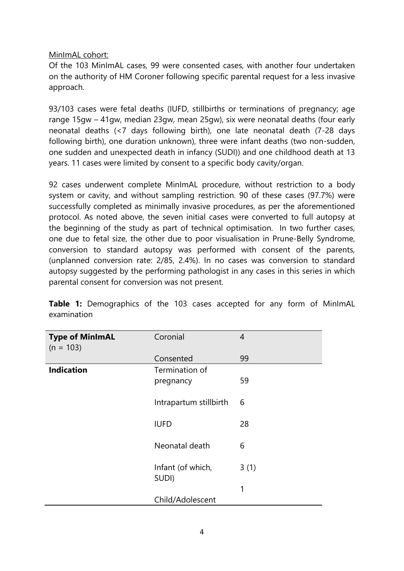MinImAL cohort:

Of the 103 MinImAL cases, 99 were consented cases, with another four undertaken on the authority of HM Coroner following specific parental request for a less invasive approach.

93/103 cases were fetal deaths (IUFD, stillbirths or terminations of pregnancy; age range 15gw – 41gw, median 23gw, mean 25gw), six were neonatal deaths (four early neonatal deaths (<7 days following birth), one late neonatal death (7-28 days following birth), one duration unknown), three were infant deaths (two non-sudden, one sudden and unexpected death in infancy (SUDI)) and one childhood death at 13 years. 11 cases were limited by consent to a specific body cavity/organ.

92 cases underwent complete MinImAL procedure, without restriction to a body system or cavity, and without sampling restriction. 90 of these cases (97.7%) were successfully completed as minimally invasive procedures, as per the aforementioned protocol. As noted above, the seven initial cases were converted to full autopsy at the beginning of the study as part of technical optimisation. In two further cases, one due to fetal size, the other due to poor visualisation in Prune-Belly Syndrome, conversion to standard autopsy was performed with consent of the parents, (unplanned conversion rate: 2/85, 2.4%). In no cases was conversion to standard autopsy suggested by the performing pathologist in any cases in this series in which parental consent for conversion was not present.

| <b>Type of MinImAL</b><br>$(n = 103)$ | Coronial                    | $\overline{4}$ |
|---------------------------------------|-----------------------------|----------------|
|                                       | Consented                   | 99             |
| <b>Indication</b>                     | Termination of<br>pregnancy | 59             |
|                                       | Intrapartum stillbirth      | 6              |
|                                       | <b>IUFD</b>                 | 28             |
|                                       | Neonatal death              | 6              |
|                                       | Infant (of which,<br>SUDI)  | 3(1)           |
|                                       |                             | 1              |
|                                       | Child/Adolescent            |                |

**Table 1:** Demographics of the 103 cases accepted for any form of MinImAL examination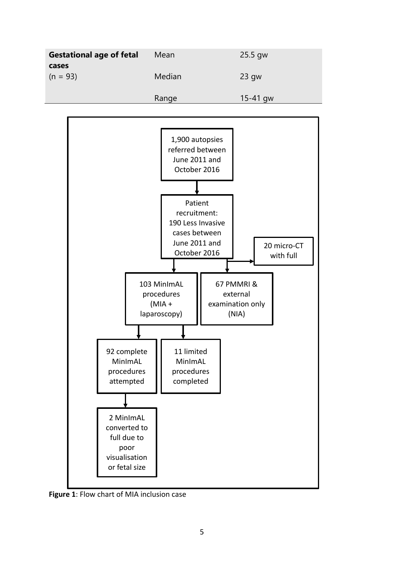| <b>Gestational age of fetal</b> | Mean   | $25.5$ gw    |
|---------------------------------|--------|--------------|
| cases<br>$(n = 93)$             | Median | $23$ gw      |
|                                 | Range  | $15 - 41$ gw |



**Figure 1**: Flow chart of MIA inclusion case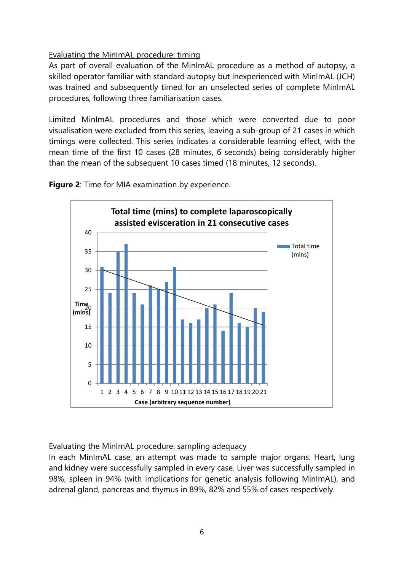## Evaluating the MinImAL procedure: timing

As part of overall evaluation of the MinImAL procedure as a method of autopsy, a skilled operator familiar with standard autopsy but inexperienced with MinImAL (JCH) was trained and subsequently timed for an unselected series of complete MinImAL procedures, following three familiarisation cases.

Limited MinImAL procedures and those which were converted due to poor visualisation were excluded from this series, leaving a sub-group of 21 cases in which timings were collected. This series indicates a considerable learning effect, with the mean time of the first 10 cases (28 minutes, 6 seconds) being considerably higher than the mean of the subsequent 10 cases timed (18 minutes, 12 seconds).

**Figure 2**: Time for MIA examination by experience.



#### Evaluating the MinImAL procedure: sampling adequacy

In each MinImAL case, an attempt was made to sample major organs. Heart, lung and kidney were successfully sampled in every case. Liver was successfully sampled in 98%, spleen in 94% (with implications for genetic analysis following MinImAL), and adrenal gland, pancreas and thymus in 89%, 82% and 55% of cases respectively.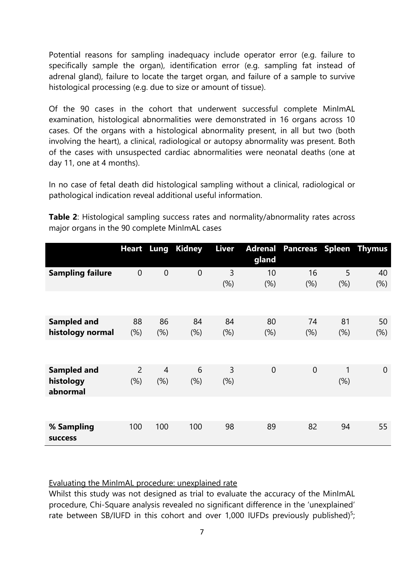Potential reasons for sampling inadequacy include operator error (e.g. failure to specifically sample the organ), identification error (e.g. sampling fat instead of adrenal gland), failure to locate the target organ, and failure of a sample to survive histological processing (e.g. due to size or amount of tissue).

Of the 90 cases in the cohort that underwent successful complete MinImAL examination, histological abnormalities were demonstrated in 16 organs across 10 cases. Of the organs with a histological abnormality present, in all but two (both involving the heart), a clinical, radiological or autopsy abnormality was present. Both of the cases with unsuspected cardiac abnormalities were neonatal deaths (one at day 11, one at 4 months).

In no case of fetal death did histological sampling without a clinical, radiological or pathological indication reveal additional useful information.

|                                             |                       | <b>Heart</b> Lung     | <b>Kidney</b>  | Liver        | gland          | <b>Adrenal Pancreas Spleen Thymus</b> |           |              |
|---------------------------------------------|-----------------------|-----------------------|----------------|--------------|----------------|---------------------------------------|-----------|--------------|
| <b>Sampling failure</b>                     | $\theta$              | $\mathbf 0$           | $\overline{0}$ | 3<br>(%)     | 10<br>(%)      | 16<br>(% )                            | 5<br>(% ) | 40<br>$(\%)$ |
|                                             |                       |                       |                |              |                |                                       |           |              |
| <b>Sampled and</b><br>histology normal      | 88<br>$(\%)$          | 86<br>(%)             | 84<br>$(\%)$   | 84<br>$(\%)$ | 80<br>$(\%)$   | 74<br>(% )                            | 81<br>(%) | 50<br>$(\%)$ |
|                                             |                       |                       |                |              |                |                                       |           |              |
| <b>Sampled and</b><br>histology<br>abnormal | $\overline{2}$<br>(%) | $\overline{4}$<br>(%) | 6<br>(%)       | 3<br>(%)     | $\overline{0}$ | $\overline{0}$                        | 1<br>(%)  | $\theta$     |
|                                             |                       |                       |                |              |                |                                       |           |              |
| % Sampling<br><b>SUCCESS</b>                | 100                   | 100                   | 100            | 98           | 89             | 82                                    | 94        | 55           |

**Table 2**: Histological sampling success rates and normality/abnormality rates across major organs in the 90 complete MinImAL cases

Evaluating the MinImAL procedure: unexplained rate

Whilst this study was not designed as trial to evaluate the accuracy of the MinImAL procedure, Chi-Square analysis revealed no significant difference in the 'unexplained' rate between SB/IUFD in this cohort and over 1,000 IUFDs previously published)<sup>5</sup>;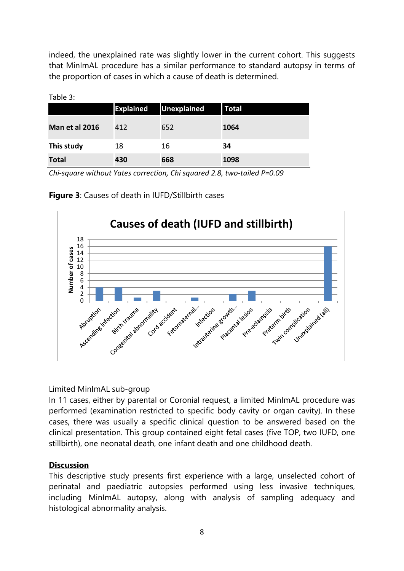indeed, the unexplained rate was slightly lower in the current cohort. This suggests that MinImAL procedure has a similar performance to standard autopsy in terms of the proportion of cases in which a cause of death is determined.

|                       | <b>Explained</b> | Unexplained | Total |
|-----------------------|------------------|-------------|-------|
| <b>Man et al 2016</b> | 412              | 652         | 1064  |
| This study            | 18               | 16          | 34    |
| <b>Total</b>          | 430              | 668         | 1098  |

Table 3:

*Chi-square without Yates correction, Chi squared 2.8, two-tailed P=0.09*





#### Limited MinImAL sub-group

In 11 cases, either by parental or Coronial request, a limited MinImAL procedure was performed (examination restricted to specific body cavity or organ cavity). In these cases, there was usually a specific clinical question to be answered based on the clinical presentation. This group contained eight fetal cases (five TOP, two IUFD, one stillbirth), one neonatal death, one infant death and one childhood death.

#### **Discussion**

This descriptive study presents first experience with a large, unselected cohort of perinatal and paediatric autopsies performed using less invasive techniques, including MinImAL autopsy, along with analysis of sampling adequacy and histological abnormality analysis.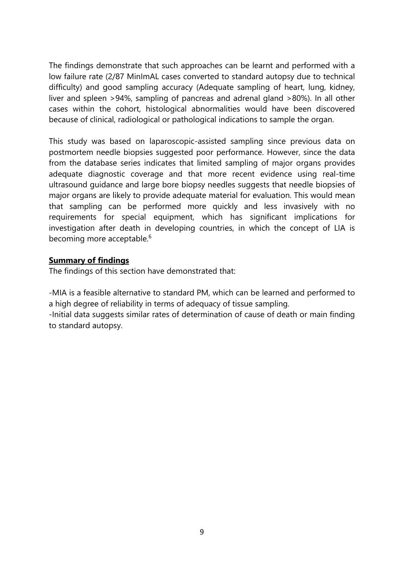The findings demonstrate that such approaches can be learnt and performed with a low failure rate (2/87 MinImAL cases converted to standard autopsy due to technical difficulty) and good sampling accuracy (Adequate sampling of heart, lung, kidney, liver and spleen >94%, sampling of pancreas and adrenal gland >80%). In all other cases within the cohort, histological abnormalities would have been discovered because of clinical, radiological or pathological indications to sample the organ.

This study was based on laparoscopic-assisted sampling since previous data on postmortem needle biopsies suggested poor performance. However, since the data from the database series indicates that limited sampling of major organs provides adequate diagnostic coverage and that more recent evidence using real-time ultrasound guidance and large bore biopsy needles suggests that needle biopsies of major organs are likely to provide adequate material for evaluation. This would mean that sampling can be performed more quickly and less invasively with no requirements for special equipment, which has significant implications for investigation after death in developing countries, in which the concept of LIA is becoming more acceptable.<sup>6</sup>

#### **Summary of findings**

The findings of this section have demonstrated that:

-MIA is a feasible alternative to standard PM, which can be learned and performed to a high degree of reliability in terms of adequacy of tissue sampling.

-Initial data suggests similar rates of determination of cause of death or main finding to standard autopsy.